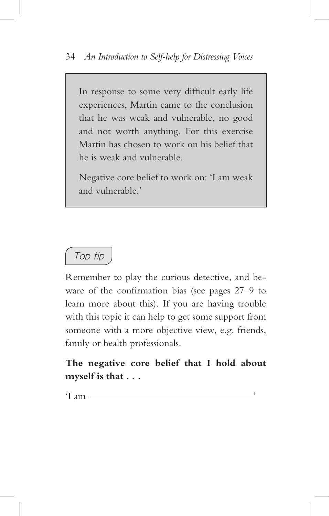

Remember to play the curious detective, and beware of the confirmation bias (see pages 27–9 to learn more about this). If you are having trouble with this topic it can help to get some support from someone with a more objective view, e.g. friends, family or health professionals.

**The negative core belief that I hold about myself is that . . .** 

 $\cdot$ I am  $\_\_\_\_\_\_\_\_\$